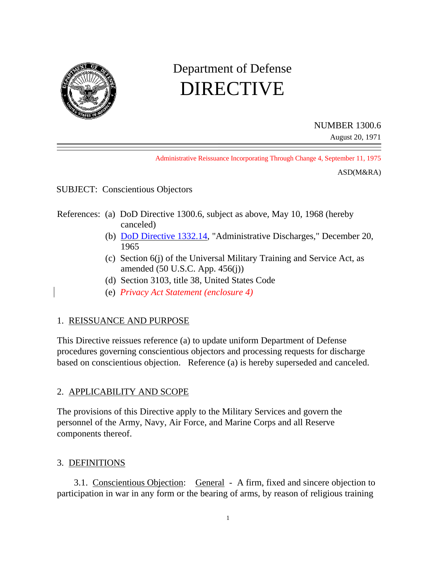

# Department of Defense DIRECTIVE

NUMBER 1300.6

August 20, 1971

Administrative Reissuance Incorporating Through Change 4, September 11, 1975

ASD(M&RA)

SUBJECT: Conscientious Objectors

- References: (a) DoD Directive 1300.6, subject as above, May 10, 1968 (hereby canceled)
	- (b) DoD Directive 1332.14, "Administrative Discharges," December 20, 1965
	- (c) Section 6(j) of the Universal Military Training and Service Act, as amended (50 U.S.C. App. 456(j))
	- (d) Section 3103, title 38, United States Code
	- (e) *Privacy Act Statement (enclosure 4)*

## 1. REISSUANCE AND PURPOSE

This Directive reissues reference (a) to update uniform Department of Defense procedures governing conscientious objectors and processing requests for discharge based on conscientious objection. Reference (a) is hereby superseded and canceled.

## 2. APPLICABILITY AND SCOPE

The provisions of this Directive apply to the Military Services and govern the personnel of the Army, Navy, Air Force, and Marine Corps and all Reserve components thereof.

#### 3. DEFINITIONS

3.1. Conscientious Objection: General - A firm, fixed and sincere objection to participation in war in any form or the bearing of arms, by reason of religious training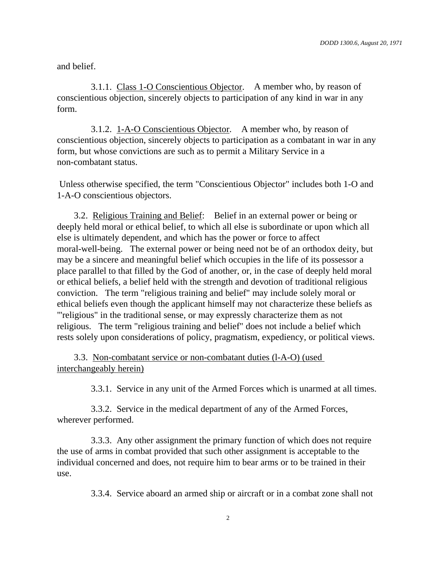and belief.

3.1.1. Class 1-O Conscientious Objector. A member who, by reason of conscientious objection, sincerely objects to participation of any kind in war in any form.

3.1.2. 1-A-O Conscientious Objector. A member who, by reason of conscientious objection, sincerely objects to participation as a combatant in war in any form, but whose convictions are such as to permit a Military Service in a non-combatant status.

Unless otherwise specified, the term "Conscientious Objector" includes both 1-O and 1-A-O conscientious objectors.

3.2. Religious Training and Belief: Belief in an external power or being or deeply held moral or ethical belief, to which all else is subordinate or upon which all else is ultimately dependent, and which has the power or force to affect moral-well-being. The external power or being need not be of an orthodox deity, but may be a sincere and meaningful belief which occupies in the life of its possessor a place parallel to that filled by the God of another, or, in the case of deeply held moral or ethical beliefs, a belief held with the strength and devotion of traditional religious conviction. The term "religious training and belief" may include solely moral or ethical beliefs even though the applicant himself may not characterize these beliefs as "'religious" in the traditional sense, or may expressly characterize them as not religious. The term "religious training and belief" does not include a belief which rests solely upon considerations of policy, pragmatism, expediency, or political views.

3.3. Non-combatant service or non-combatant duties (l-A-O) (used interchangeably herein)

3.3.1. Service in any unit of the Armed Forces which is unarmed at all times.

3.3.2. Service in the medical department of any of the Armed Forces, wherever performed.

3.3.3. Any other assignment the primary function of which does not require the use of arms in combat provided that such other assignment is acceptable to the individual concerned and does, not require him to bear arms or to be trained in their use.

3.3.4. Service aboard an armed ship or aircraft or in a combat zone shall not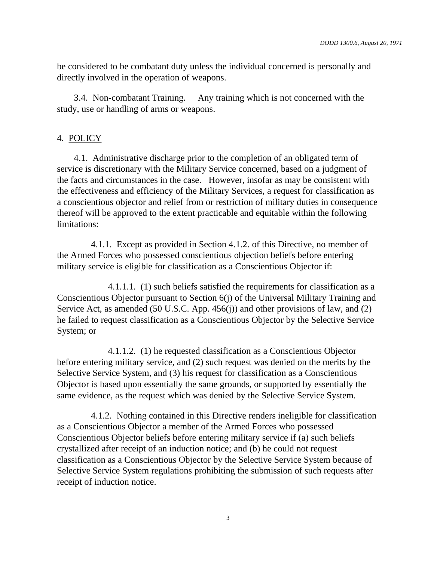be considered to be combatant duty unless the individual concerned is personally and directly involved in the operation of weapons.

3.4. Non-combatant Training. Any training which is not concerned with the study, use or handling of arms or weapons.

## 4. POLICY

4.1. Administrative discharge prior to the completion of an obligated term of service is discretionary with the Military Service concerned, based on a judgment of the facts and circumstances in the case. However, insofar as may be consistent with the effectiveness and efficiency of the Military Services, a request for classification as a conscientious objector and relief from or restriction of military duties in consequence thereof will be approved to the extent practicable and equitable within the following limitations:

4.1.1. Except as provided in Section 4.1.2. of this Directive, no member of the Armed Forces who possessed conscientious objection beliefs before entering military service is eligible for classification as a Conscientious Objector if:

4.1.1.1. (1) such beliefs satisfied the requirements for classification as a Conscientious Objector pursuant to Section 6(j) of the Universal Military Training and Service Act, as amended (50 U.S.C. App. 456(j)) and other provisions of law, and (2) he failed to request classification as a Conscientious Objector by the Selective Service System; or

4.1.1.2. (1) he requested classification as a Conscientious Objector before entering military service, and (2) such request was denied on the merits by the Selective Service System, and (3) his request for classification as a Conscientious Objector is based upon essentially the same grounds, or supported by essentially the same evidence, as the request which was denied by the Selective Service System.

4.1.2. Nothing contained in this Directive renders ineligible for classification as a Conscientious Objector a member of the Armed Forces who possessed Conscientious Objector beliefs before entering military service if (a) such beliefs crystallized after receipt of an induction notice; and (b) he could not request classification as a Conscientious Objector by the Selective Service System because of Selective Service System regulations prohibiting the submission of such requests after receipt of induction notice.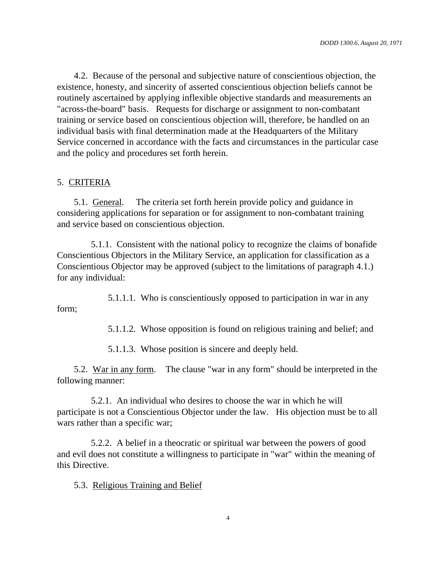4.2. Because of the personal and subjective nature of conscientious objection, the existence, honesty, and sincerity of asserted conscientious objection beliefs cannot be routinely ascertained by applying inflexible objective standards and measurements an "across-the-board" basis. Requests for discharge or assignment to non-combatant training or service based on conscientious objection will, therefore, be handled on an individual basis with final determination made at the Headquarters of the Military Service concerned in accordance with the facts and circumstances in the particular case and the policy and procedures set forth herein.

#### 5. CRITERIA

5.1. General. The criteria set forth herein provide policy and guidance in considering applications for separation or for assignment to non-combatant training and service based on conscientious objection.

5.1.1. Consistent with the national policy to recognize the claims of bonafide Conscientious Objectors in the Military Service, an application for classification as a Conscientious Objector may be approved (subject to the limitations of paragraph 4.1.) for any individual:

5.1.1.1. Who is conscientiously opposed to participation in war in any form;

5.1.1.2. Whose opposition is found on religious training and belief; and

5.1.1.3. Whose position is sincere and deeply held.

5.2. War in any form. The clause "war in any form" should be interpreted in the following manner:

5.2.1. An individual who desires to choose the war in which he will participate is not a Conscientious Objector under the law. His objection must be to all wars rather than a specific war;

5.2.2. A belief in a theocratic or spiritual war between the powers of good and evil does not constitute a willingness to participate in "war" within the meaning of this Directive.

5.3. Religious Training and Belief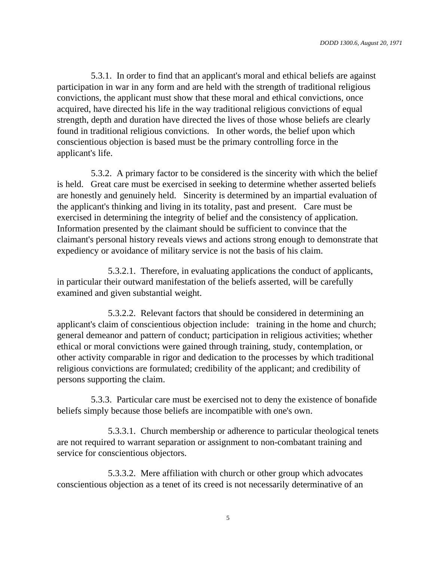5.3.1. In order to find that an applicant's moral and ethical beliefs are against participation in war in any form and are held with the strength of traditional religious convictions, the applicant must show that these moral and ethical convictions, once acquired, have directed his life in the way traditional religious convictions of equal strength, depth and duration have directed the lives of those whose beliefs are clearly found in traditional religious convictions. In other words, the belief upon which conscientious objection is based must be the primary controlling force in the applicant's life.

5.3.2. A primary factor to be considered is the sincerity with which the belief is held. Great care must be exercised in seeking to determine whether asserted beliefs are honestly and genuinely held. Sincerity is determined by an impartial evaluation of the applicant's thinking and living in its totality, past and present. Care must be exercised in determining the integrity of belief and the consistency of application. Information presented by the claimant should be sufficient to convince that the claimant's personal history reveals views and actions strong enough to demonstrate that expediency or avoidance of military service is not the basis of his claim.

5.3.2.1. Therefore, in evaluating applications the conduct of applicants, in particular their outward manifestation of the beliefs asserted, will be carefully examined and given substantial weight.

5.3.2.2. Relevant factors that should be considered in determining an applicant's claim of conscientious objection include: training in the home and church; general demeanor and pattern of conduct; participation in religious activities; whether ethical or moral convictions were gained through training, study, contemplation, or other activity comparable in rigor and dedication to the processes by which traditional religious convictions are formulated; credibility of the applicant; and credibility of persons supporting the claim.

5.3.3. Particular care must be exercised not to deny the existence of bonafide beliefs simply because those beliefs are incompatible with one's own.

5.3.3.1. Church membership or adherence to particular theological tenets are not required to warrant separation or assignment to non-combatant training and service for conscientious objectors.

5.3.3.2. Mere affiliation with church or other group which advocates conscientious objection as a tenet of its creed is not necessarily determinative of an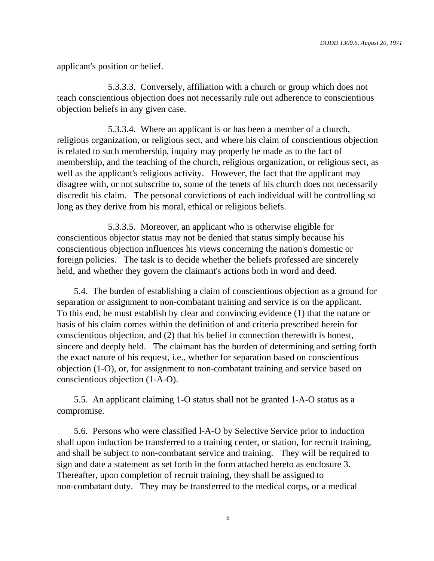applicant's position or belief.

5.3.3.3. Conversely, affiliation with a church or group which does not teach conscientious objection does not necessarily rule out adherence to conscientious objection beliefs in any given case.

5.3.3.4. Where an applicant is or has been a member of a church, religious organization, or religious sect, and where his claim of conscientious objection is related to such membership, inquiry may properly be made as to the fact of membership, and the teaching of the church, religious organization, or religious sect, as well as the applicant's religious activity. However, the fact that the applicant may disagree with, or not subscribe to, some of the tenets of his church does not necessarily discredit his claim. The personal convictions of each individual will be controlling so long as they derive from his moral, ethical or religious beliefs.

5.3.3.5. Moreover, an applicant who is otherwise eligible for conscientious objector status may not be denied that status simply because his conscientious objection influences his views concerning the nation's domestic or foreign policies. The task is to decide whether the beliefs professed are sincerely held, and whether they govern the claimant's actions both in word and deed.

5.4. The burden of establishing a claim of conscientious objection as a ground for separation or assignment to non-combatant training and service is on the applicant. To this end, he must establish by clear and convincing evidence (1) that the nature or basis of his claim comes within the definition of and criteria prescribed herein for conscientious objection, and (2) that his belief in connection therewith is honest, sincere and deeply held. The claimant has the burden of determining and setting forth the exact nature of his request, i.e., whether for separation based on conscientious objection (1-O), or, for assignment to non-combatant training and service based on conscientious objection (1-A-O).

5.5. An applicant claiming 1-O status shall not be granted 1-A-O status as a compromise.

5.6. Persons who were classified l-A-O by Selective Service prior to induction shall upon induction be transferred to a training center, or station, for recruit training, and shall be subject to non-combatant service and training. They will be required to sign and date a statement as set forth in the form attached hereto as enclosure 3. Thereafter, upon completion of recruit training, they shall be assigned to non-combatant duty. They may be transferred to the medical corps, or a medical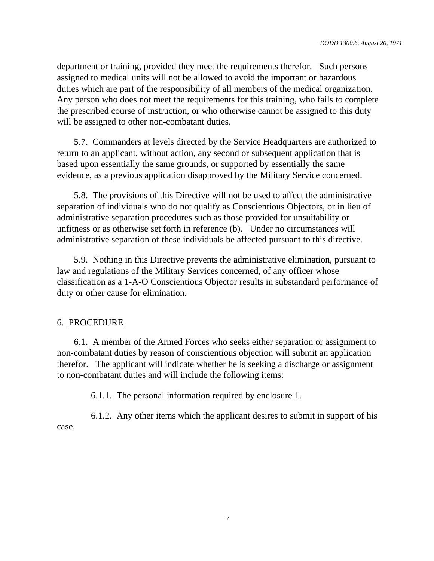department or training, provided they meet the requirements therefor. Such persons assigned to medical units will not be allowed to avoid the important or hazardous duties which are part of the responsibility of all members of the medical organization. Any person who does not meet the requirements for this training, who fails to complete the prescribed course of instruction, or who otherwise cannot be assigned to this duty will be assigned to other non-combatant duties.

5.7. Commanders at levels directed by the Service Headquarters are authorized to return to an applicant, without action, any second or subsequent application that is based upon essentially the same grounds, or supported by essentially the same evidence, as a previous application disapproved by the Military Service concerned.

5.8. The provisions of this Directive will not be used to affect the administrative separation of individuals who do not qualify as Conscientious Objectors, or in lieu of administrative separation procedures such as those provided for unsuitability or unfitness or as otherwise set forth in reference (b). Under no circumstances will administrative separation of these individuals be affected pursuant to this directive.

5.9. Nothing in this Directive prevents the administrative elimination, pursuant to law and regulations of the Military Services concerned, of any officer whose classification as a 1-A-O Conscientious Objector results in substandard performance of duty or other cause for elimination.

#### 6. PROCEDURE

6.1. A member of the Armed Forces who seeks either separation or assignment to non-combatant duties by reason of conscientious objection will submit an application therefor. The applicant will indicate whether he is seeking a discharge or assignment to non-combatant duties and will include the following items:

6.1.1. The personal information required by enclosure 1.

6.1.2. Any other items which the applicant desires to submit in support of his case.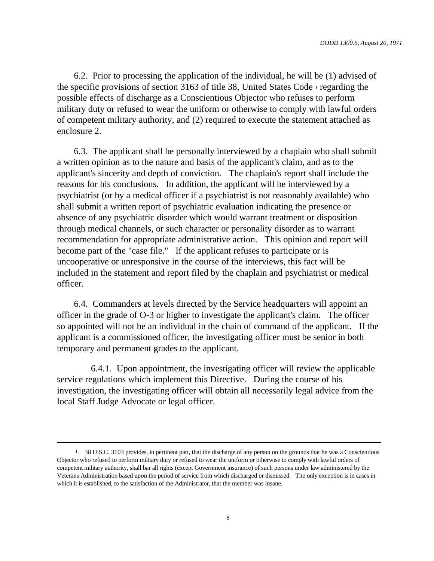6.2. Prior to processing the application of the individual, he will be (1) advised of the specific provisions of section 3163 of title 38, United States Code <sup>1</sup> regarding the possible effects of discharge as a Conscientious Objector who refuses to perform military duty or refused to wear the uniform or otherwise to comply with lawful orders of competent military authority, and (2) required to execute the statement attached as enclosure 2.

6.3. The applicant shall be personally interviewed by a chaplain who shall submit a written opinion as to the nature and basis of the applicant's claim, and as to the applicant's sincerity and depth of conviction. The chaplain's report shall include the reasons for his conclusions. In addition, the applicant will be interviewed by a psychiatrist (or by a medical officer if a psychiatrist is not reasonably available) who shall submit a written report of psychiatric evaluation indicating the presence or absence of any psychiatric disorder which would warrant treatment or disposition through medical channels, or such character or personality disorder as to warrant recommendation for appropriate administrative action. This opinion and report will become part of the "case file." If the applicant refuses to participate or is uncooperative or unresponsive in the course of the interviews, this fact will be included in the statement and report filed by the chaplain and psychiatrist or medical officer.

6.4. Commanders at levels directed by the Service headquarters will appoint an officer in the grade of O-3 or higher to investigate the applicant's claim. The officer so appointed will not be an individual in the chain of command of the applicant. If the applicant is a commissioned officer, the investigating officer must be senior in both temporary and permanent grades to the applicant.

6.4.1. Upon appointment, the investigating officer will review the applicable service regulations which implement this Directive. During the course of his investigation, the investigating officer will obtain all necessarily legal advice from the local Staff Judge Advocate or legal officer.

<sup>1.</sup> 38 U.S.C. 3103 provides, in pertinent part, that the discharge of any person on the grounds that he was a Conscientious Objector who refused to perform military duty or refused to wear the uniform or otherwise to comply with lawful orders of competent military authority, shall bar all rights (except Government insurance) of such persons under law administered by the Veterans Administration based upon the period of service from which discharged or dismissed. The only exception is in cases in which it is established, to the satisfaction of the Administrator, that the member was insane.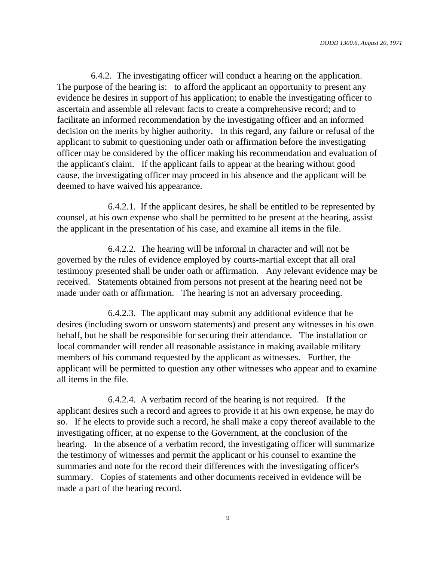6.4.2. The investigating officer will conduct a hearing on the application. The purpose of the hearing is: to afford the applicant an opportunity to present any evidence he desires in support of his application; to enable the investigating officer to ascertain and assemble all relevant facts to create a comprehensive record; and to facilitate an informed recommendation by the investigating officer and an informed decision on the merits by higher authority. In this regard, any failure or refusal of the applicant to submit to questioning under oath or affirmation before the investigating officer may be considered by the officer making his recommendation and evaluation of the applicant's claim. If the applicant fails to appear at the hearing without good cause, the investigating officer may proceed in his absence and the applicant will be deemed to have waived his appearance.

6.4.2.1. If the applicant desires, he shall be entitled to be represented by counsel, at his own expense who shall be permitted to be present at the hearing, assist the applicant in the presentation of his case, and examine all items in the file.

6.4.2.2. The hearing will be informal in character and will not be governed by the rules of evidence employed by courts-martial except that all oral testimony presented shall be under oath or affirmation. Any relevant evidence may be received. Statements obtained from persons not present at the hearing need not be made under oath or affirmation. The hearing is not an adversary proceeding.

6.4.2.3. The applicant may submit any additional evidence that he desires (including sworn or unsworn statements) and present any witnesses in his own behalf, but he shall be responsible for securing their attendance. The installation or local commander will render all reasonable assistance in making available military members of his command requested by the applicant as witnesses. Further, the applicant will be permitted to question any other witnesses who appear and to examine all items in the file.

6.4.2.4. A verbatim record of the hearing is not required. If the applicant desires such a record and agrees to provide it at his own expense, he may do so. If he elects to provide such a record, he shall make a copy thereof available to the investigating officer, at no expense to the Government, at the conclusion of the hearing. In the absence of a verbatim record, the investigating officer will summarize the testimony of witnesses and permit the applicant or his counsel to examine the summaries and note for the record their differences with the investigating officer's summary. Copies of statements and other documents received in evidence will be made a part of the hearing record.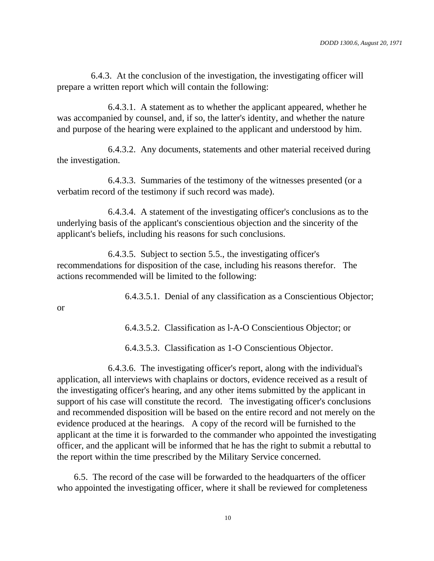6.4.3. At the conclusion of the investigation, the investigating officer will prepare a written report which will contain the following:

6.4.3.1. A statement as to whether the applicant appeared, whether he was accompanied by counsel, and, if so, the latter's identity, and whether the nature and purpose of the hearing were explained to the applicant and understood by him.

6.4.3.2. Any documents, statements and other material received during the investigation.

6.4.3.3. Summaries of the testimony of the witnesses presented (or a verbatim record of the testimony if such record was made).

6.4.3.4. A statement of the investigating officer's conclusions as to the underlying basis of the applicant's conscientious objection and the sincerity of the applicant's beliefs, including his reasons for such conclusions.

6.4.3.5. Subject to section 5.5., the investigating officer's recommendations for disposition of the case, including his reasons therefor. The actions recommended will be limited to the following:

6.4.3.5.1. Denial of any classification as a Conscientious Objector;

or

6.4.3.5.2. Classification as l-A-O Conscientious Objector; or

6.4.3.5.3. Classification as 1-O Conscientious Objector.

6.4.3.6. The investigating officer's report, along with the individual's application, all interviews with chaplains or doctors, evidence received as a result of the investigating officer's hearing, and any other items submitted by the applicant in support of his case will constitute the record. The investigating officer's conclusions and recommended disposition will be based on the entire record and not merely on the evidence produced at the hearings. A copy of the record will be furnished to the applicant at the time it is forwarded to the commander who appointed the investigating officer, and the applicant will be informed that he has the right to submit a rebuttal to the report within the time prescribed by the Military Service concerned.

6.5. The record of the case will be forwarded to the headquarters of the officer who appointed the investigating officer, where it shall be reviewed for completeness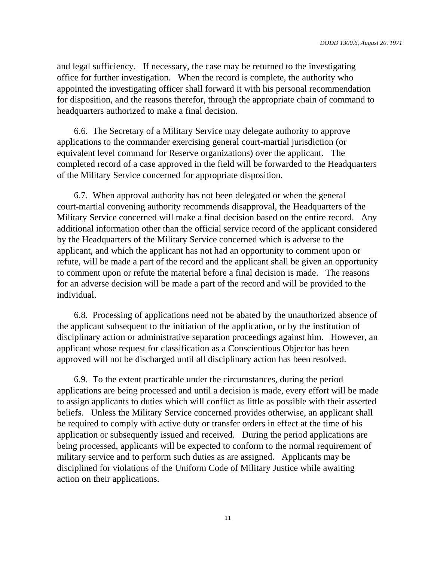and legal sufficiency. If necessary, the case may be returned to the investigating office for further investigation. When the record is complete, the authority who appointed the investigating officer shall forward it with his personal recommendation for disposition, and the reasons therefor, through the appropriate chain of command to headquarters authorized to make a final decision.

6.6. The Secretary of a Military Service may delegate authority to approve applications to the commander exercising general court-martial jurisdiction (or equivalent level command for Reserve organizations) over the applicant. The completed record of a case approved in the field will be forwarded to the Headquarters of the Military Service concerned for appropriate disposition.

6.7. When approval authority has not been delegated or when the general court-martial convening authority recommends disapproval, the Headquarters of the Military Service concerned will make a final decision based on the entire record. Any additional information other than the official service record of the applicant considered by the Headquarters of the Military Service concerned which is adverse to the applicant, and which the applicant has not had an opportunity to comment upon or refute, will be made a part of the record and the applicant shall be given an opportunity to comment upon or refute the material before a final decision is made. The reasons for an adverse decision will be made a part of the record and will be provided to the individual.

6.8. Processing of applications need not be abated by the unauthorized absence of the applicant subsequent to the initiation of the application, or by the institution of disciplinary action or administrative separation proceedings against him. However, an applicant whose request for classification as a Conscientious Objector has been approved will not be discharged until all disciplinary action has been resolved.

6.9. To the extent practicable under the circumstances, during the period applications are being processed and until a decision is made, every effort will be made to assign applicants to duties which will conflict as little as possible with their asserted beliefs. Unless the Military Service concerned provides otherwise, an applicant shall be required to comply with active duty or transfer orders in effect at the time of his application or subsequently issued and received. During the period applications are being processed, applicants will be expected to conform to the normal requirement of military service and to perform such duties as are assigned. Applicants may be disciplined for violations of the Uniform Code of Military Justice while awaiting action on their applications.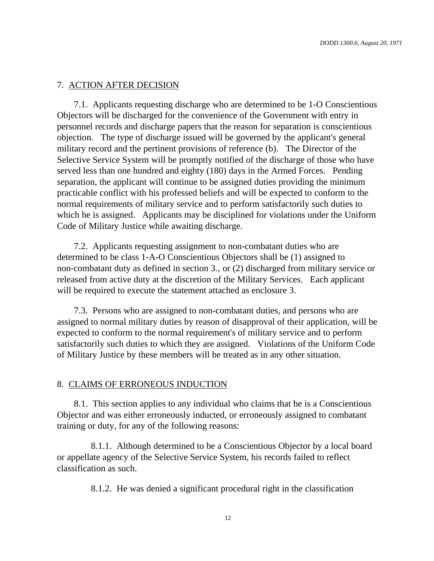#### 7. ACTION AFTER DECISION

7.1. Applicants requesting discharge who are determined to be 1-O Conscientious Objectors will be discharged for the convenience of the Government with entry in personnel records and discharge papers that the reason for separation is conscientious objection. The type of discharge issued will be governed by the applicant's general military record and the pertinent provisions of reference (b). The Director of the Selective Service System will be promptly notified of the discharge of those who have served less than one hundred and eighty (180) days in the Armed Forces. Pending separation, the applicant will continue to be assigned duties providing the minimum practicable conflict with his professed beliefs and will be expected to conform to the normal requirements of military service and to perform satisfactorily such duties to which he is assigned. Applicants may be disciplined for violations under the Uniform Code of Military Justice while awaiting discharge.

7.2. Applicants requesting assignment to non-combatant duties who are determined to be class 1-A-O Conscientious Objectors shall be (1) assigned to non-combatant duty as defined in section 3., or (2) discharged from military service or released from active duty at the discretion of the Military Services. Each applicant will be required to execute the statement attached as enclosure 3.

7.3. Persons who are assigned to non-combatant duties, and persons who are assigned to normal military duties by reason of disapproval of their application, will be expected to conform to the normal requirement's of military service and to perform satisfactorily such duties to which they are assigned. Violations of the Uniform Code of Military Justice by these members will be treated as in any other situation.

#### 8. CLAIMS OF ERRONEOUS INDUCTION

8.1. This section applies to any individual who claims that he is a Conscientious Objector and was either erroneously inducted, or erroneously assigned to combatant training or duty, for any of the following reasons:

8.1.1. Although determined to be a Conscientious Objector by a local board or appellate agency of the Selective Service System, his records failed to reflect classification as such.

8.1.2. He was denied a significant procedural right in the classification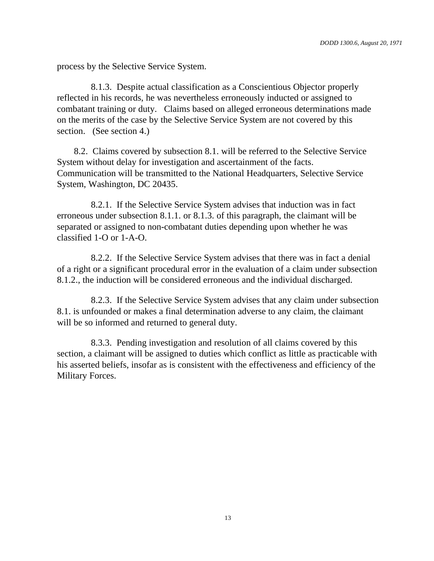process by the Selective Service System.

8.1.3. Despite actual classification as a Conscientious Objector properly reflected in his records, he was nevertheless erroneously inducted or assigned to combatant training or duty. Claims based on alleged erroneous determinations made on the merits of the case by the Selective Service System are not covered by this section. (See section 4.)

8.2. Claims covered by subsection 8.1. will be referred to the Selective Service System without delay for investigation and ascertainment of the facts. Communication will be transmitted to the National Headquarters, Selective Service System, Washington, DC 20435.

8.2.1. If the Selective Service System advises that induction was in fact erroneous under subsection 8.1.1. or 8.1.3. of this paragraph, the claimant will be separated or assigned to non-combatant duties depending upon whether he was classified 1-O or 1-A-O.

8.2.2. If the Selective Service System advises that there was in fact a denial of a right or a significant procedural error in the evaluation of a claim under subsection 8.1.2., the induction will be considered erroneous and the individual discharged.

8.2.3. If the Selective Service System advises that any claim under subsection 8.1. is unfounded or makes a final determination adverse to any claim, the claimant will be so informed and returned to general duty.

8.3.3. Pending investigation and resolution of all claims covered by this section, a claimant will be assigned to duties which conflict as little as practicable with his asserted beliefs, insofar as is consistent with the effectiveness and efficiency of the Military Forces.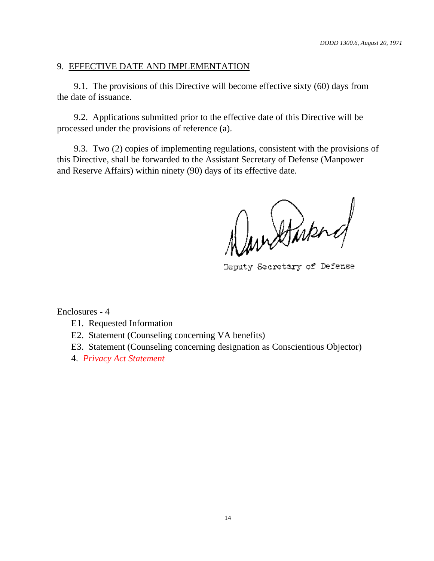#### 9. EFFECTIVE DATE AND IMPLEMENTATION

9.1. The provisions of this Directive will become effective sixty (60) days from the date of issuance.

9.2. Applications submitted prior to the effective date of this Directive will be processed under the provisions of reference (a).

9.3. Two (2) copies of implementing regulations, consistent with the provisions of this Directive, shall be forwarded to the Assistant Secretary of Defense (Manpower and Reserve Affairs) within ninety (90) days of its effective date.

Randburg

Deputy Secretary of Defense

Enclosures - 4

E1. Requested Information

E2. Statement (Counseling concerning VA benefits)

E3. Statement (Counseling concerning designation as Conscientious Objector)

4. *Privacy Act Statement*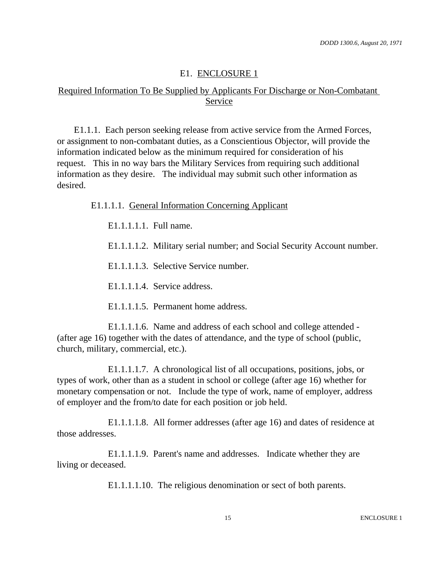#### E1. ENCLOSURE 1

### Required Information To Be Supplied by Applicants For Discharge or Non-Combatant Service

E1.1.1. Each person seeking release from active service from the Armed Forces, or assignment to non-combatant duties, as a Conscientious Objector, will provide the information indicated below as the minimum required for consideration of his request. This in no way bars the Military Services from requiring such additional information as they desire. The individual may submit such other information as desired.

E1.1.1.1. General Information Concerning Applicant

E1.1.1.1.1. Full name.

E1.1.1.1.2. Military serial number; and Social Security Account number.

E1.1.1.1.3. Selective Service number.

E1.1.1.1.4. Service address.

E1.1.1.1.5. Permanent home address.

E1.1.1.1.6. Name and address of each school and college attended - (after age 16) together with the dates of attendance, and the type of school (public, church, military, commercial, etc.).

E1.1.1.1.7. A chronological list of all occupations, positions, jobs, or types of work, other than as a student in school or college (after age 16) whether for monetary compensation or not. Include the type of work, name of employer, address of employer and the from/to date for each position or job held.

E1.1.1.1.8. All former addresses (after age 16) and dates of residence at those addresses.

E1.1.1.1.9. Parent's name and addresses. Indicate whether they are living or deceased.

E1.1.1.1.10. The religious denomination or sect of both parents.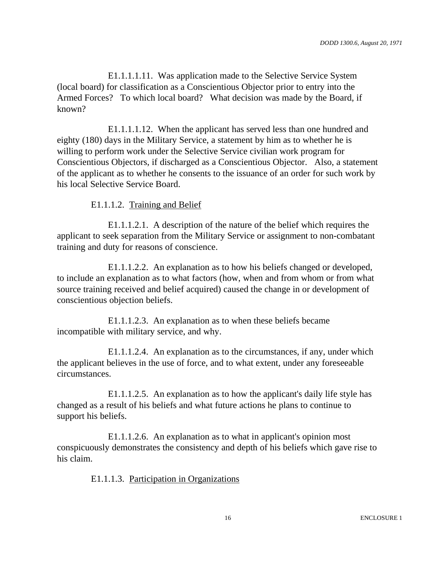E1.1.1.1.11. Was application made to the Selective Service System (local board) for classification as a Conscientious Objector prior to entry into the Armed Forces? To which local board? What decision was made by the Board, if known?

E1.1.1.1.12. When the applicant has served less than one hundred and eighty (180) days in the Military Service, a statement by him as to whether he is willing to perform work under the Selective Service civilian work program for Conscientious Objectors, if discharged as a Conscientious Objector. Also, a statement of the applicant as to whether he consents to the issuance of an order for such work by his local Selective Service Board.

E1.1.1.2. Training and Belief

E1.1.1.2.1. A description of the nature of the belief which requires the applicant to seek separation from the Military Service or assignment to non-combatant training and duty for reasons of conscience.

E1.1.1.2.2. An explanation as to how his beliefs changed or developed, to include an explanation as to what factors (how, when and from whom or from what source training received and belief acquired) caused the change in or development of conscientious objection beliefs.

E1.1.1.2.3. An explanation as to when these beliefs became incompatible with military service, and why.

E1.1.1.2.4. An explanation as to the circumstances, if any, under which the applicant believes in the use of force, and to what extent, under any foreseeable circumstances.

E1.1.1.2.5. An explanation as to how the applicant's daily life style has changed as a result of his beliefs and what future actions he plans to continue to support his beliefs.

E1.1.1.2.6. An explanation as to what in applicant's opinion most conspicuously demonstrates the consistency and depth of his beliefs which gave rise to his claim.

E1.1.1.3. Participation in Organizations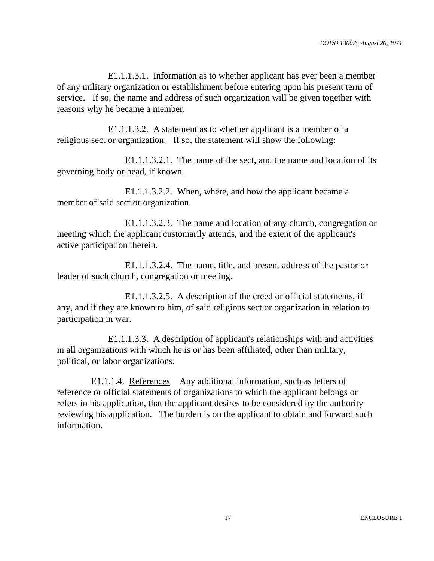E1.1.1.3.1. Information as to whether applicant has ever been a member of any military organization or establishment before entering upon his present term of service. If so, the name and address of such organization will be given together with reasons why he became a member.

E1.1.1.3.2. A statement as to whether applicant is a member of a religious sect or organization. If so, the statement will show the following:

E1.1.1.3.2.1. The name of the sect, and the name and location of its governing body or head, if known.

E1.1.1.3.2.2. When, where, and how the applicant became a member of said sect or organization.

E1.1.1.3.2.3. The name and location of any church, congregation or meeting which the applicant customarily attends, and the extent of the applicant's active participation therein.

E1.1.1.3.2.4. The name, title, and present address of the pastor or leader of such church, congregation or meeting.

E1.1.1.3.2.5. A description of the creed or official statements, if any, and if they are known to him, of said religious sect or organization in relation to participation in war.

E1.1.1.3.3. A description of applicant's relationships with and activities in all organizations with which he is or has been affiliated, other than military, political, or labor organizations.

E1.1.1.4. References Any additional information, such as letters of reference or official statements of organizations to which the applicant belongs or refers in his application, that the applicant desires to be considered by the authority reviewing his application. The burden is on the applicant to obtain and forward such information.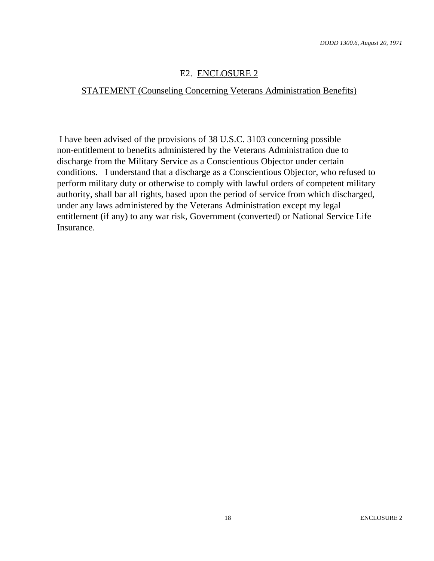## E2. ENCLOSURE 2

#### STATEMENT (Counseling Concerning Veterans Administration Benefits)

I have been advised of the provisions of 38 U.S.C. 3103 concerning possible non-entitlement to benefits administered by the Veterans Administration due to discharge from the Military Service as a Conscientious Objector under certain conditions. I understand that a discharge as a Conscientious Objector, who refused to perform military duty or otherwise to comply with lawful orders of competent military authority, shall bar all rights, based upon the period of service from which discharged, under any laws administered by the Veterans Administration except my legal entitlement (if any) to any war risk, Government (converted) or National Service Life Insurance.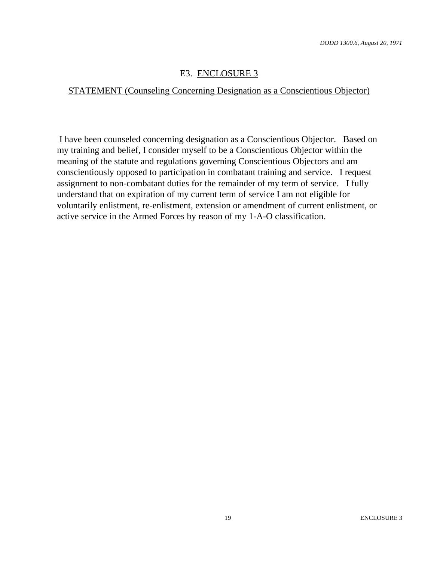## E3. ENCLOSURE 3

## STATEMENT (Counseling Concerning Designation as a Conscientious Objector)

I have been counseled concerning designation as a Conscientious Objector. Based on my training and belief, I consider myself to be a Conscientious Objector within the meaning of the statute and regulations governing Conscientious Objectors and am conscientiously opposed to participation in combatant training and service. I request assignment to non-combatant duties for the remainder of my term of service. I fully understand that on expiration of my current term of service I am not eligible for voluntarily enlistment, re-enlistment, extension or amendment of current enlistment, or active service in the Armed Forces by reason of my 1-A-O classification.